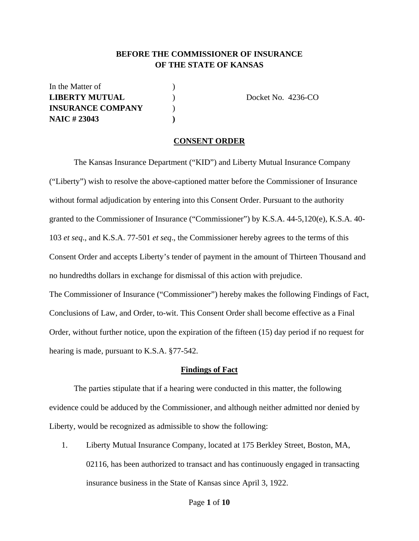### **BEFORE THE COMMISSIONER OF INSURANCE OF THE STATE OF KANSAS**

In the Matter of  $\qquad \qquad$  ) **LIBERTY MUTUAL** (Docket No. 4236-CO) **INSURANCE COMPANY** ) **NAIC # 23043 )** 

#### **CONSENT ORDER**

 The Kansas Insurance Department ("KID") and Liberty Mutual Insurance Company ("Liberty") wish to resolve the above-captioned matter before the Commissioner of Insurance without formal adjudication by entering into this Consent Order. Pursuant to the authority granted to the Commissioner of Insurance ("Commissioner") by K.S.A. 44-5,120(e), K.S.A. 40- 103 *et seq*., and K.S.A. 77-501 *et seq*., the Commissioner hereby agrees to the terms of this Consent Order and accepts Liberty's tender of payment in the amount of Thirteen Thousand and no hundredths dollars in exchange for dismissal of this action with prejudice. The Commissioner of Insurance ("Commissioner") hereby makes the following Findings of Fact, Conclusions of Law, and Order, to-wit. This Consent Order shall become effective as a Final Order, without further notice, upon the expiration of the fifteen (15) day period if no request for hearing is made, pursuant to K.S.A. §77-542.

#### **Findings of Fact**

 The parties stipulate that if a hearing were conducted in this matter, the following evidence could be adduced by the Commissioner, and although neither admitted nor denied by Liberty, would be recognized as admissible to show the following:

1. Liberty Mutual Insurance Company, located at 175 Berkley Street, Boston, MA, 02116, has been authorized to transact and has continuously engaged in transacting insurance business in the State of Kansas since April 3, 1922.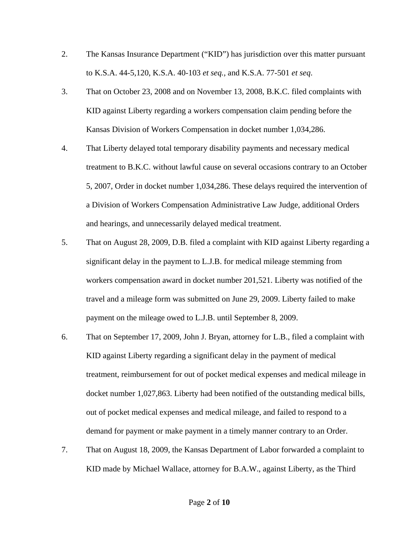- 2. The Kansas Insurance Department ("KID") has jurisdiction over this matter pursuant to K.S.A. 44-5,120, K.S.A. 40-103 *et seq.,* and K.S.A. 77-501 *et seq*.
- 3. That on October 23, 2008 and on November 13, 2008, B.K.C. filed complaints with KID against Liberty regarding a workers compensation claim pending before the Kansas Division of Workers Compensation in docket number 1,034,286.
- 4. That Liberty delayed total temporary disability payments and necessary medical treatment to B.K.C. without lawful cause on several occasions contrary to an October 5, 2007, Order in docket number 1,034,286. These delays required the intervention of a Division of Workers Compensation Administrative Law Judge, additional Orders and hearings, and unnecessarily delayed medical treatment.
- 5. That on August 28, 2009, D.B. filed a complaint with KID against Liberty regarding a significant delay in the payment to L.J.B. for medical mileage stemming from workers compensation award in docket number 201,521. Liberty was notified of the travel and a mileage form was submitted on June 29, 2009. Liberty failed to make payment on the mileage owed to L.J.B. until September 8, 2009.
- 6. That on September 17, 2009, John J. Bryan, attorney for L.B., filed a complaint with KID against Liberty regarding a significant delay in the payment of medical treatment, reimbursement for out of pocket medical expenses and medical mileage in docket number 1,027,863. Liberty had been notified of the outstanding medical bills, out of pocket medical expenses and medical mileage, and failed to respond to a demand for payment or make payment in a timely manner contrary to an Order.
- 7. That on August 18, 2009, the Kansas Department of Labor forwarded a complaint to KID made by Michael Wallace, attorney for B.A.W., against Liberty, as the Third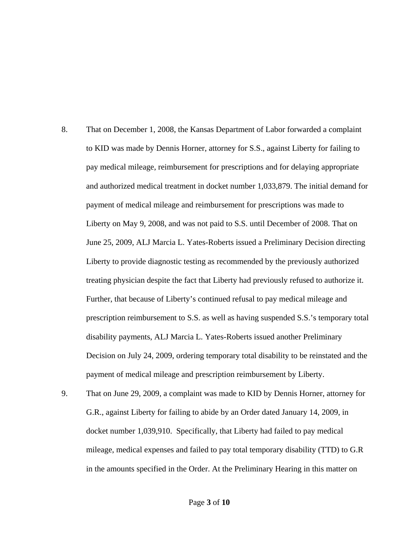- 8. That on December 1, 2008, the Kansas Department of Labor forwarded a complaint to KID was made by Dennis Horner, attorney for S.S., against Liberty for failing to pay medical mileage, reimbursement for prescriptions and for delaying appropriate and authorized medical treatment in docket number 1,033,879. The initial demand for payment of medical mileage and reimbursement for prescriptions was made to Liberty on May 9, 2008, and was not paid to S.S. until December of 2008. That on June 25, 2009, ALJ Marcia L. Yates-Roberts issued a Preliminary Decision directing Liberty to provide diagnostic testing as recommended by the previously authorized treating physician despite the fact that Liberty had previously refused to authorize it. Further, that because of Liberty's continued refusal to pay medical mileage and prescription reimbursement to S.S. as well as having suspended S.S.'s temporary total disability payments, ALJ Marcia L. Yates-Roberts issued another Preliminary Decision on July 24, 2009, ordering temporary total disability to be reinstated and the payment of medical mileage and prescription reimbursement by Liberty.
- 9. That on June 29, 2009, a complaint was made to KID by Dennis Horner, attorney for G.R., against Liberty for failing to abide by an Order dated January 14, 2009, in docket number 1,039,910. Specifically, that Liberty had failed to pay medical mileage, medical expenses and failed to pay total temporary disability (TTD) to G.R in the amounts specified in the Order. At the Preliminary Hearing in this matter on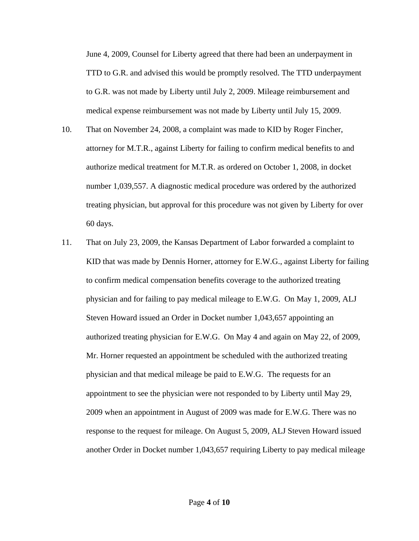June 4, 2009, Counsel for Liberty agreed that there had been an underpayment in TTD to G.R. and advised this would be promptly resolved. The TTD underpayment to G.R. was not made by Liberty until July 2, 2009. Mileage reimbursement and medical expense reimbursement was not made by Liberty until July 15, 2009.

- 10. That on November 24, 2008, a complaint was made to KID by Roger Fincher, attorney for M.T.R., against Liberty for failing to confirm medical benefits to and authorize medical treatment for M.T.R. as ordered on October 1, 2008, in docket number 1,039,557. A diagnostic medical procedure was ordered by the authorized treating physician, but approval for this procedure was not given by Liberty for over 60 days.
- 11. That on July 23, 2009, the Kansas Department of Labor forwarded a complaint to KID that was made by Dennis Horner, attorney for E.W.G., against Liberty for failing to confirm medical compensation benefits coverage to the authorized treating physician and for failing to pay medical mileage to E.W.G. On May 1, 2009, ALJ Steven Howard issued an Order in Docket number 1,043,657 appointing an authorized treating physician for E.W.G. On May 4 and again on May 22, of 2009, Mr. Horner requested an appointment be scheduled with the authorized treating physician and that medical mileage be paid to E.W.G. The requests for an appointment to see the physician were not responded to by Liberty until May 29, 2009 when an appointment in August of 2009 was made for E.W.G. There was no response to the request for mileage. On August 5, 2009, ALJ Steven Howard issued another Order in Docket number 1,043,657 requiring Liberty to pay medical mileage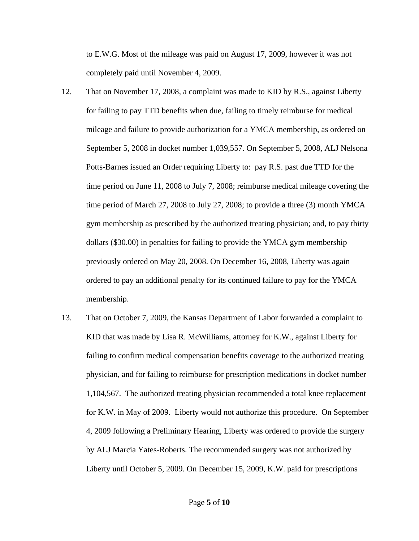to E.W.G. Most of the mileage was paid on August 17, 2009, however it was not completely paid until November 4, 2009.

- 12. That on November 17, 2008, a complaint was made to KID by R.S., against Liberty for failing to pay TTD benefits when due, failing to timely reimburse for medical mileage and failure to provide authorization for a YMCA membership, as ordered on September 5, 2008 in docket number 1,039,557. On September 5, 2008, ALJ Nelsona Potts-Barnes issued an Order requiring Liberty to: pay R.S. past due TTD for the time period on June 11, 2008 to July 7, 2008; reimburse medical mileage covering the time period of March 27, 2008 to July 27, 2008; to provide a three (3) month YMCA gym membership as prescribed by the authorized treating physician; and, to pay thirty dollars (\$30.00) in penalties for failing to provide the YMCA gym membership previously ordered on May 20, 2008. On December 16, 2008, Liberty was again ordered to pay an additional penalty for its continued failure to pay for the YMCA membership.
- 13. That on October 7, 2009, the Kansas Department of Labor forwarded a complaint to KID that was made by Lisa R. McWilliams, attorney for K.W., against Liberty for failing to confirm medical compensation benefits coverage to the authorized treating physician, and for failing to reimburse for prescription medications in docket number 1,104,567. The authorized treating physician recommended a total knee replacement for K.W. in May of 2009. Liberty would not authorize this procedure. On September 4, 2009 following a Preliminary Hearing, Liberty was ordered to provide the surgery by ALJ Marcia Yates-Roberts. The recommended surgery was not authorized by Liberty until October 5, 2009. On December 15, 2009, K.W. paid for prescriptions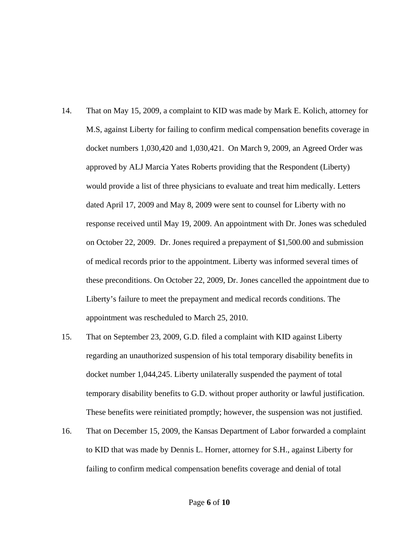- 14. That on May 15, 2009, a complaint to KID was made by Mark E. Kolich, attorney for M.S, against Liberty for failing to confirm medical compensation benefits coverage in docket numbers 1,030,420 and 1,030,421. On March 9, 2009, an Agreed Order was approved by ALJ Marcia Yates Roberts providing that the Respondent (Liberty) would provide a list of three physicians to evaluate and treat him medically. Letters dated April 17, 2009 and May 8, 2009 were sent to counsel for Liberty with no response received until May 19, 2009. An appointment with Dr. Jones was scheduled on October 22, 2009. Dr. Jones required a prepayment of \$1,500.00 and submission of medical records prior to the appointment. Liberty was informed several times of these preconditions. On October 22, 2009, Dr. Jones cancelled the appointment due to Liberty's failure to meet the prepayment and medical records conditions. The appointment was rescheduled to March 25, 2010.
- 15. That on September 23, 2009, G.D. filed a complaint with KID against Liberty regarding an unauthorized suspension of his total temporary disability benefits in docket number 1,044,245. Liberty unilaterally suspended the payment of total temporary disability benefits to G.D. without proper authority or lawful justification. These benefits were reinitiated promptly; however, the suspension was not justified.
- 16. That on December 15, 2009, the Kansas Department of Labor forwarded a complaint to KID that was made by Dennis L. Horner, attorney for S.H., against Liberty for failing to confirm medical compensation benefits coverage and denial of total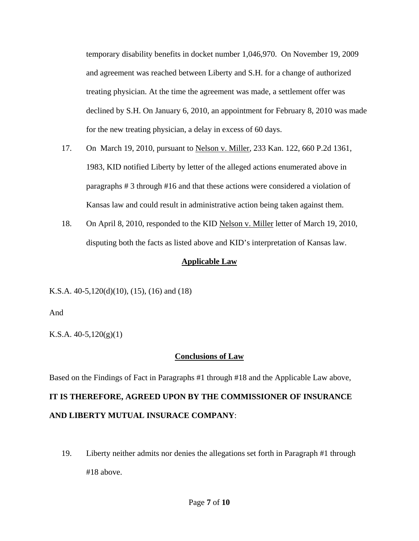temporary disability benefits in docket number 1,046,970. On November 19, 2009 and agreement was reached between Liberty and S.H. for a change of authorized treating physician. At the time the agreement was made, a settlement offer was declined by S.H. On January 6, 2010, an appointment for February 8, 2010 was made for the new treating physician, a delay in excess of 60 days.

- 17. On March 19, 2010, pursuant to Nelson v. Miller, 233 Kan. 122, 660 P.2d 1361, 1983, KID notified Liberty by letter of the alleged actions enumerated above in paragraphs # 3 through #16 and that these actions were considered a violation of Kansas law and could result in administrative action being taken against them.
- 18. On April 8, 2010, responded to the KID Nelson v. Miller letter of March 19, 2010, disputing both the facts as listed above and KID's interpretation of Kansas law.

### **Applicable Law**

K.S.A. 40-5,120(d)(10), (15), (16) and (18)

And

K.S.A.  $40-5,120(g)(1)$ 

## **Conclusions of Law**

Based on the Findings of Fact in Paragraphs #1 through #18 and the Applicable Law above,

# **IT IS THEREFORE, AGREED UPON BY THE COMMISSIONER OF INSURANCE AND LIBERTY MUTUAL INSURACE COMPANY**:

19. Liberty neither admits nor denies the allegations set forth in Paragraph #1 through #18 above.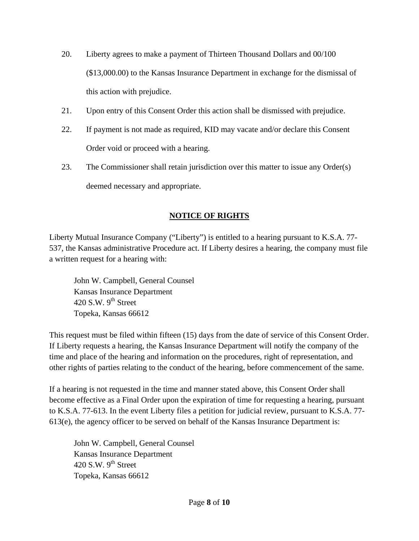- 20. Liberty agrees to make a payment of Thirteen Thousand Dollars and 00/100 (\$13,000.00) to the Kansas Insurance Department in exchange for the dismissal of this action with prejudice.
- 21. Upon entry of this Consent Order this action shall be dismissed with prejudice.
- 22. If payment is not made as required, KID may vacate and/or declare this Consent Order void or proceed with a hearing.
- 23. The Commissioner shall retain jurisdiction over this matter to issue any Order(s) deemed necessary and appropriate.

# **NOTICE OF RIGHTS**

Liberty Mutual Insurance Company ("Liberty") is entitled to a hearing pursuant to K.S.A. 77- 537, the Kansas administrative Procedure act. If Liberty desires a hearing, the company must file a written request for a hearing with:

 John W. Campbell, General Counsel Kansas Insurance Department 420 S.W.  $9<sup>th</sup>$  Street Topeka, Kansas 66612

This request must be filed within fifteen (15) days from the date of service of this Consent Order. If Liberty requests a hearing, the Kansas Insurance Department will notify the company of the time and place of the hearing and information on the procedures, right of representation, and other rights of parties relating to the conduct of the hearing, before commencement of the same.

If a hearing is not requested in the time and manner stated above, this Consent Order shall become effective as a Final Order upon the expiration of time for requesting a hearing, pursuant to K.S.A. 77-613. In the event Liberty files a petition for judicial review, pursuant to K.S.A. 77- 613(e), the agency officer to be served on behalf of the Kansas Insurance Department is:

 John W. Campbell, General Counsel Kansas Insurance Department 420 S.W.  $9<sup>th</sup>$  Street Topeka, Kansas 66612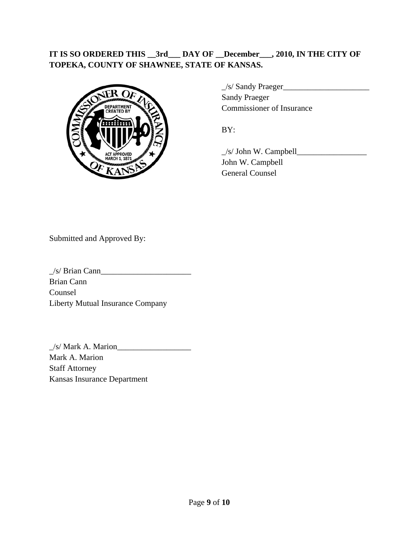## **IT IS SO ORDERED THIS \_\_3rd\_\_\_ DAY OF \_\_December\_\_\_, 2010, IN THE CITY OF TOPEKA, COUNTY OF SHAWNEE, STATE OF KANSAS.**



 $\angle$ s/ Sandy Praeger $\angle$  Sandy Praeger Commissioner of Insurance

 \_/s/ John W. Campbell\_\_\_\_\_\_\_\_\_\_\_\_\_\_\_\_\_ John W. Campbell General Counsel

Submitted and Approved By:

 $\angle$ /s/ Brian Cann $\angle$ Brian Cann Counsel Liberty Mutual Insurance Company

 $\angle$ /s/ Mark A. Marion $\angle$ Mark A. Marion Staff Attorney Kansas Insurance Department